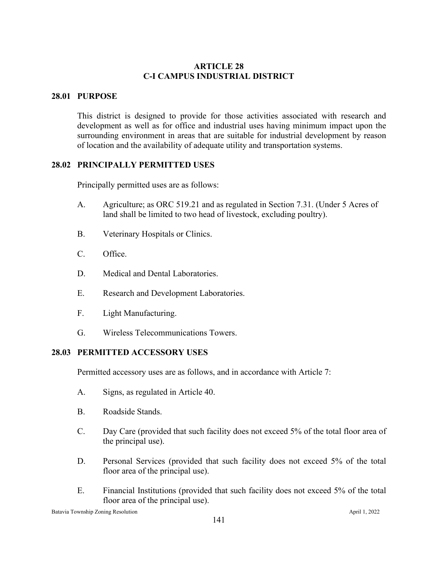# **ARTICLE 28 C-I CAMPUS INDUSTRIAL DISTRICT**

# **28.01 PURPOSE**

This district is designed to provide for those activities associated with research and development as well as for office and industrial uses having minimum impact upon the surrounding environment in areas that are suitable for industrial development by reason of location and the availability of adequate utility and transportation systems.

## **28.02 PRINCIPALLY PERMITTED USES**

Principally permitted uses are as follows:

- A. Agriculture; as ORC 519.21 and as regulated in Section 7.31. (Under 5 Acres of land shall be limited to two head of livestock, excluding poultry).
- B. Veterinary Hospitals or Clinics.
- C. Office.
- D. Medical and Dental Laboratories.
- E. Research and Development Laboratories.
- F. Light Manufacturing.
- G. Wireless Telecommunications Towers.

### **28.03 PERMITTED ACCESSORY USES**

Permitted accessory uses are as follows, and in accordance with Article 7:

- A. Signs, as regulated in Article 40.
- B. Roadside Stands.
- C. Day Care (provided that such facility does not exceed 5% of the total floor area of the principal use).
- D. Personal Services (provided that such facility does not exceed 5% of the total floor area of the principal use).
- E. Financial Institutions (provided that such facility does not exceed 5% of the total floor area of the principal use).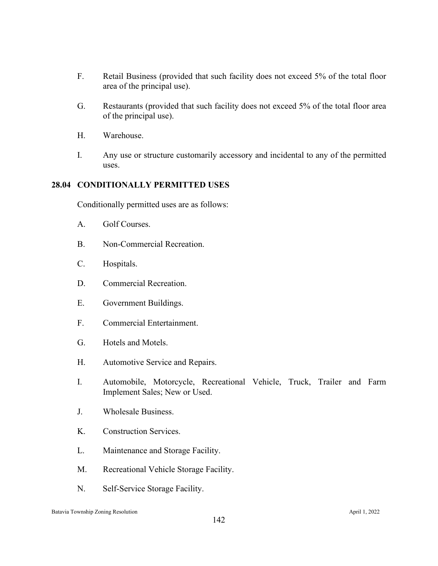- F. Retail Business (provided that such facility does not exceed 5% of the total floor area of the principal use).
- G. Restaurants (provided that such facility does not exceed 5% of the total floor area of the principal use).
- H. Warehouse.
- I. Any use or structure customarily accessory and incidental to any of the permitted uses.

### **28.04 CONDITIONALLY PERMITTED USES**

Conditionally permitted uses are as follows:

- A. Golf Courses.
- B. Non-Commercial Recreation.
- C. Hospitals.
- D. Commercial Recreation.
- E. Government Buildings.
- F. Commercial Entertainment.
- G. Hotels and Motels.
- H. Automotive Service and Repairs.
- I. Automobile, Motorcycle, Recreational Vehicle, Truck, Trailer and Farm Implement Sales; New or Used.
- J. Wholesale Business.
- K. Construction Services.
- L. Maintenance and Storage Facility.
- M. Recreational Vehicle Storage Facility.
- N. Self-Service Storage Facility.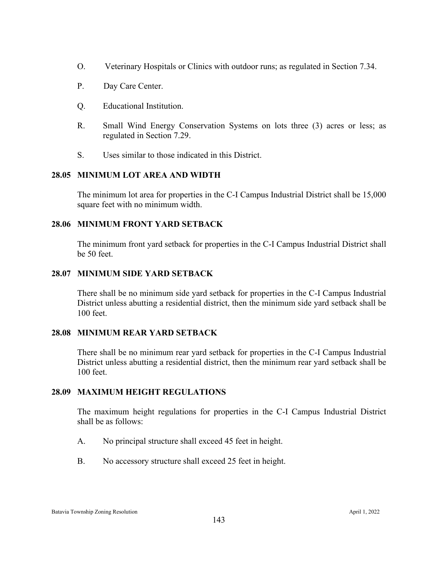- O. Veterinary Hospitals or Clinics with outdoor runs; as regulated in Section 7.34.
- P. Day Care Center.
- Q. Educational Institution.
- R. Small Wind Energy Conservation Systems on lots three (3) acres or less; as regulated in Section 7.29.
- S. Uses similar to those indicated in this District.

# **28.05 MINIMUM LOT AREA AND WIDTH**

The minimum lot area for properties in the C-I Campus Industrial District shall be 15,000 square feet with no minimum width.

# **28.06 MINIMUM FRONT YARD SETBACK**

The minimum front yard setback for properties in the C-I Campus Industrial District shall be 50 feet.

### **28.07 MINIMUM SIDE YARD SETBACK**

There shall be no minimum side yard setback for properties in the C-I Campus Industrial District unless abutting a residential district, then the minimum side yard setback shall be 100 feet.

### **28.08 MINIMUM REAR YARD SETBACK**

There shall be no minimum rear yard setback for properties in the C-I Campus Industrial District unless abutting a residential district, then the minimum rear yard setback shall be 100 feet.

### **28.09 MAXIMUM HEIGHT REGULATIONS**

The maximum height regulations for properties in the C-I Campus Industrial District shall be as follows:

- A. No principal structure shall exceed 45 feet in height.
- B. No accessory structure shall exceed 25 feet in height.